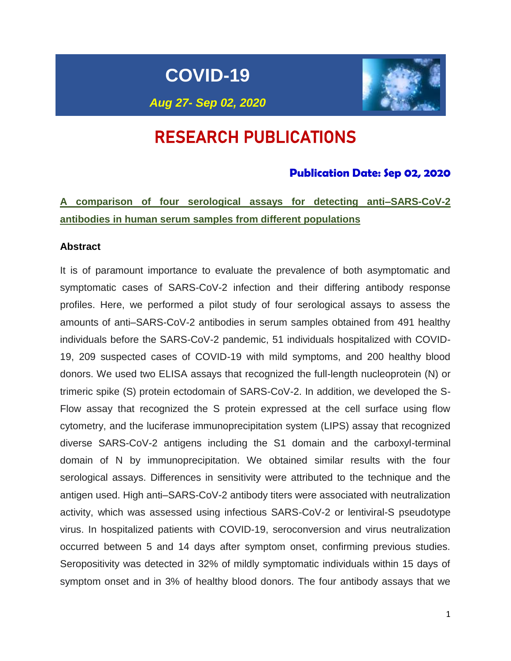**COVID-19**



# *Aug 27- Sep 02, 2020*

# RESEARCH PUBLICATIONS

## **Publication Date: Sep 02, 2020**

**A comparison of four serological assays for detecting anti–SARS-CoV-2 antibodies in human serum samples from different populations**

#### **Abstract**

It is of paramount importance to evaluate the prevalence of both asymptomatic and symptomatic cases of SARS-CoV-2 infection and their differing antibody response profiles. Here, we performed a pilot study of four serological assays to assess the amounts of anti–SARS-CoV-2 antibodies in serum samples obtained from 491 healthy individuals before the SARS-CoV-2 pandemic, 51 individuals hospitalized with COVID-19, 209 suspected cases of COVID-19 with mild symptoms, and 200 healthy blood donors. We used two ELISA assays that recognized the full-length nucleoprotein (N) or trimeric spike (S) protein ectodomain of SARS-CoV-2. In addition, we developed the S-Flow assay that recognized the S protein expressed at the cell surface using flow cytometry, and the luciferase immunoprecipitation system (LIPS) assay that recognized diverse SARS-CoV-2 antigens including the S1 domain and the carboxyl-terminal domain of N by immunoprecipitation. We obtained similar results with the four serological assays. Differences in sensitivity were attributed to the technique and the antigen used. High anti–SARS-CoV-2 antibody titers were associated with neutralization activity, which was assessed using infectious SARS-CoV-2 or lentiviral-S pseudotype virus. In hospitalized patients with COVID-19, seroconversion and virus neutralization occurred between 5 and 14 days after symptom onset, confirming previous studies. Seropositivity was detected in 32% of mildly symptomatic individuals within 15 days of symptom onset and in 3% of healthy blood donors. The four antibody assays that we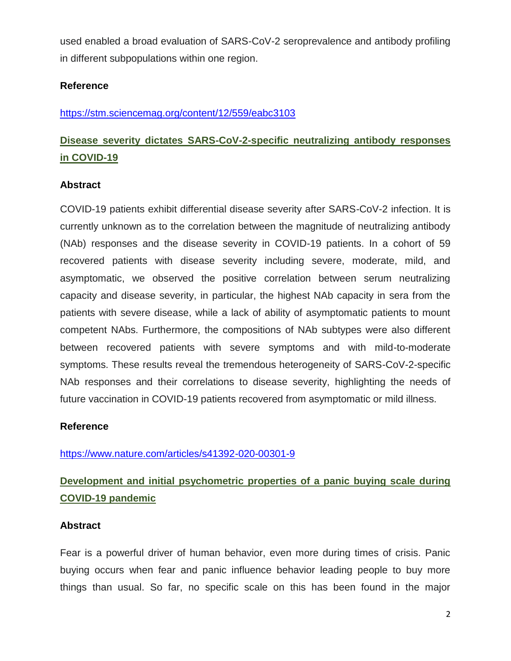used enabled a broad evaluation of SARS-CoV-2 seroprevalence and antibody profiling in different subpopulations within one region.

## **Reference**

## <https://stm.sciencemag.org/content/12/559/eabc3103>

# **Disease severity dictates SARS-CoV-2-specific neutralizing antibody responses in COVID-19**

## **Abstract**

COVID-19 patients exhibit differential disease severity after SARS-CoV-2 infection. It is currently unknown as to the correlation between the magnitude of neutralizing antibody (NAb) responses and the disease severity in COVID-19 patients. In a cohort of 59 recovered patients with disease severity including severe, moderate, mild, and asymptomatic, we observed the positive correlation between serum neutralizing capacity and disease severity, in particular, the highest NAb capacity in sera from the patients with severe disease, while a lack of ability of asymptomatic patients to mount competent NAbs. Furthermore, the compositions of NAb subtypes were also different between recovered patients with severe symptoms and with mild-to-moderate symptoms. These results reveal the tremendous heterogeneity of SARS-CoV-2-specific NAb responses and their correlations to disease severity, highlighting the needs of future vaccination in COVID-19 patients recovered from asymptomatic or mild illness.

## **Reference**

<https://www.nature.com/articles/s41392-020-00301-9>

# **Development and initial psychometric properties of a panic buying scale during COVID-19 pandemic**

## **Abstract**

Fear is a powerful driver of human behavior, even more during times of crisis. Panic buying occurs when fear and panic influence behavior leading people to buy more things than usual. So far, no specific scale on this has been found in the major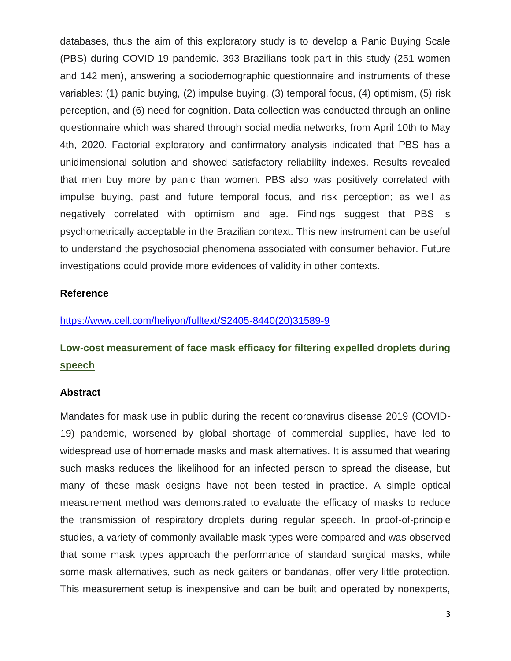databases, thus the aim of this exploratory study is to develop a Panic Buying Scale (PBS) during COVID-19 pandemic. 393 Brazilians took part in this study (251 women and 142 men), answering a sociodemographic questionnaire and instruments of these variables: (1) panic buying, (2) impulse buying, (3) temporal focus, (4) optimism, (5) risk perception, and (6) need for cognition. Data collection was conducted through an online questionnaire which was shared through social media networks, from April 10th to May 4th, 2020. Factorial exploratory and confirmatory analysis indicated that PBS has a unidimensional solution and showed satisfactory reliability indexes. Results revealed that men buy more by panic than women. PBS also was positively correlated with impulse buying, past and future temporal focus, and risk perception; as well as negatively correlated with optimism and age. Findings suggest that PBS is psychometrically acceptable in the Brazilian context. This new instrument can be useful to understand the psychosocial phenomena associated with consumer behavior. Future investigations could provide more evidences of validity in other contexts.

### **Reference**

## [https://www.cell.com/heliyon/fulltext/S2405-8440\(20\)31589-9](https://www.cell.com/heliyon/fulltext/S2405-8440(20)31589-9)

# **Low-cost measurement of face mask efficacy for filtering expelled droplets during speech**

#### **Abstract**

Mandates for mask use in public during the recent coronavirus disease 2019 (COVID-19) pandemic, worsened by global shortage of commercial supplies, have led to widespread use of homemade masks and mask alternatives. It is assumed that wearing such masks reduces the likelihood for an infected person to spread the disease, but many of these mask designs have not been tested in practice. A simple optical measurement method was demonstrated to evaluate the efficacy of masks to reduce the transmission of respiratory droplets during regular speech. In proof-of-principle studies, a variety of commonly available mask types were compared and was observed that some mask types approach the performance of standard surgical masks, while some mask alternatives, such as neck gaiters or bandanas, offer very little protection. This measurement setup is inexpensive and can be built and operated by nonexperts,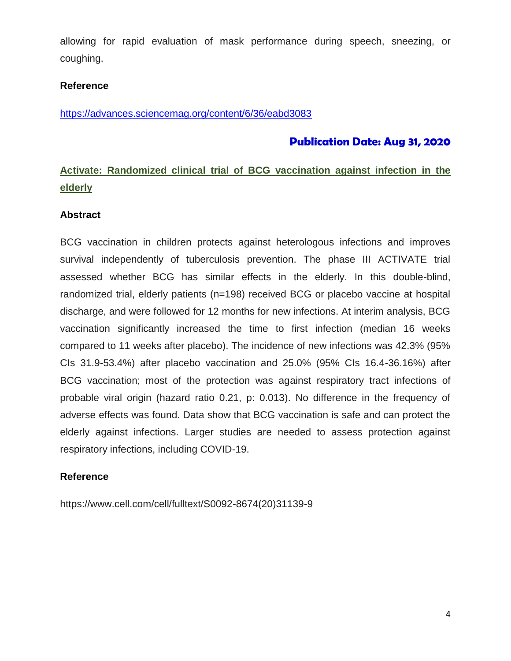allowing for rapid evaluation of mask performance during speech, sneezing, or coughing.

## **Reference**

<https://advances.sciencemag.org/content/6/36/eabd3083>

## **Publication Date: Aug 31, 2020**

## **Activate: Randomized clinical trial of BCG vaccination against infection in the elderly**

## **Abstract**

BCG vaccination in children protects against heterologous infections and improves survival independently of tuberculosis prevention. The phase III ACTIVATE trial assessed whether BCG has similar effects in the elderly. In this double-blind, randomized trial, elderly patients (n=198) received BCG or placebo vaccine at hospital discharge, and were followed for 12 months for new infections. At interim analysis, BCG vaccination significantly increased the time to first infection (median 16 weeks compared to 11 weeks after placebo). The incidence of new infections was 42.3% (95% CIs 31.9-53.4%) after placebo vaccination and 25.0% (95% CIs 16.4-36.16%) after BCG vaccination; most of the protection was against respiratory tract infections of probable viral origin (hazard ratio 0.21, p: 0.013). No difference in the frequency of adverse effects was found. Data show that BCG vaccination is safe and can protect the elderly against infections. Larger studies are needed to assess protection against respiratory infections, including COVID-19.

## **Reference**

https://www.cell.com/cell/fulltext/S0092-8674(20)31139-9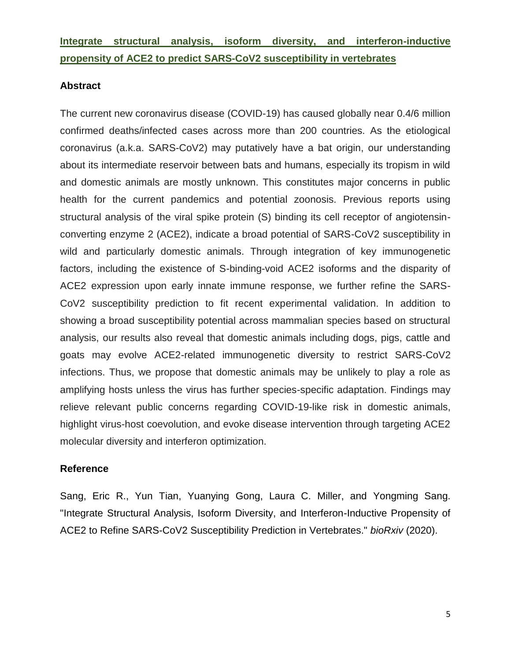## **Integrate structural analysis, isoform diversity, and interferon-inductive propensity of ACE2 to predict SARS-CoV2 susceptibility in vertebrates**

## **Abstract**

The current new coronavirus disease (COVID-19) has caused globally near 0.4/6 million confirmed deaths/infected cases across more than 200 countries. As the etiological coronavirus (a.k.a. SARS-CoV2) may putatively have a bat origin, our understanding about its intermediate reservoir between bats and humans, especially its tropism in wild and domestic animals are mostly unknown. This constitutes major concerns in public health for the current pandemics and potential zoonosis. Previous reports using structural analysis of the viral spike protein (S) binding its cell receptor of angiotensinconverting enzyme 2 (ACE2), indicate a broad potential of SARS-CoV2 susceptibility in wild and particularly domestic animals. Through integration of key immunogenetic factors, including the existence of S-binding-void ACE2 isoforms and the disparity of ACE2 expression upon early innate immune response, we further refine the SARS-CoV2 susceptibility prediction to fit recent experimental validation. In addition to showing a broad susceptibility potential across mammalian species based on structural analysis, our results also reveal that domestic animals including dogs, pigs, cattle and goats may evolve ACE2-related immunogenetic diversity to restrict SARS-CoV2 infections. Thus, we propose that domestic animals may be unlikely to play a role as amplifying hosts unless the virus has further species-specific adaptation. Findings may relieve relevant public concerns regarding COVID-19-like risk in domestic animals, highlight virus-host coevolution, and evoke disease intervention through targeting ACE2 molecular diversity and interferon optimization.

## **Reference**

Sang, Eric R., Yun Tian, Yuanying Gong, Laura C. Miller, and Yongming Sang. "Integrate Structural Analysis, Isoform Diversity, and Interferon-Inductive Propensity of ACE2 to Refine SARS-CoV2 Susceptibility Prediction in Vertebrates." *bioRxiv* (2020).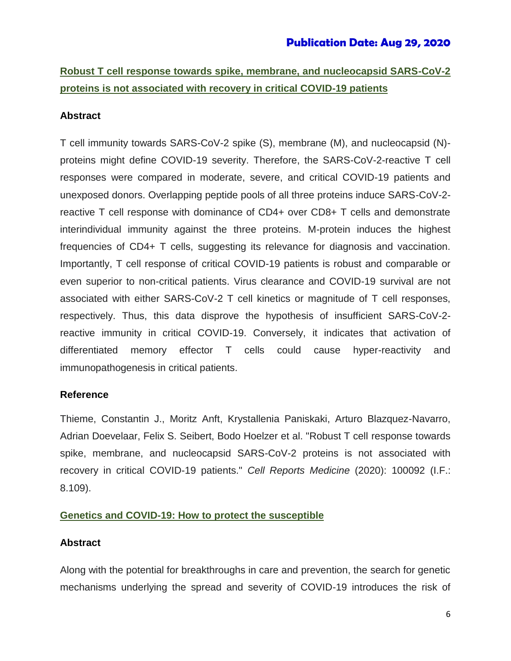# **Robust T cell response towards spike, membrane, and nucleocapsid SARS-CoV-2 proteins is not associated with recovery in critical COVID-19 patients**

## **Abstract**

T cell immunity towards SARS-CoV-2 spike (S), membrane (M), and nucleocapsid (N) proteins might define COVID-19 severity. Therefore, the SARS-CoV-2-reactive T cell responses were compared in moderate, severe, and critical COVID-19 patients and unexposed donors. Overlapping peptide pools of all three proteins induce SARS-CoV-2 reactive T cell response with dominance of CD4+ over CD8+ T cells and demonstrate interindividual immunity against the three proteins. M-protein induces the highest frequencies of CD4+ T cells, suggesting its relevance for diagnosis and vaccination. Importantly, T cell response of critical COVID-19 patients is robust and comparable or even superior to non-critical patients. Virus clearance and COVID-19 survival are not associated with either SARS-CoV-2 T cell kinetics or magnitude of T cell responses, respectively. Thus, this data disprove the hypothesis of insufficient SARS-CoV-2 reactive immunity in critical COVID-19. Conversely, it indicates that activation of differentiated memory effector T cells could cause hyper-reactivity and immunopathogenesis in critical patients.

## **Reference**

Thieme, Constantin J., Moritz Anft, Krystallenia Paniskaki, Arturo Blazquez-Navarro, Adrian Doevelaar, Felix S. Seibert, Bodo Hoelzer et al. "Robust T cell response towards spike, membrane, and nucleocapsid SARS-CoV-2 proteins is not associated with recovery in critical COVID-19 patients." *Cell Reports Medicine* (2020): 100092 (I.F.: 8.109).

## **Genetics and COVID-19: How to protect the susceptible**

## **Abstract**

Along with the potential for breakthroughs in care and prevention, the search for genetic mechanisms underlying the spread and severity of COVID-19 introduces the risk of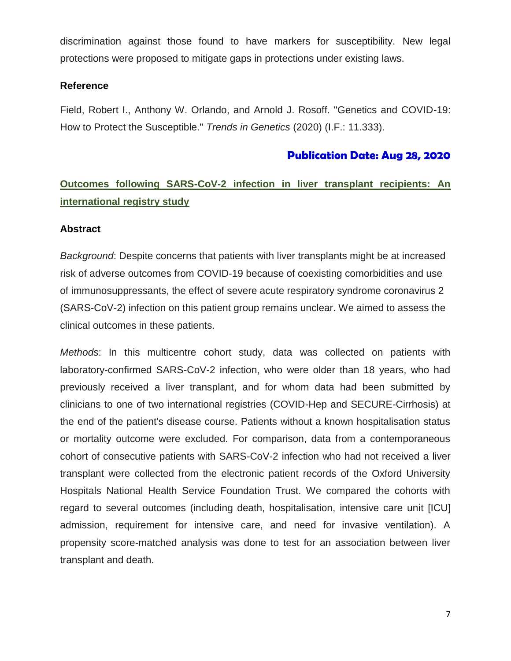discrimination against those found to have markers for susceptibility. New legal protections were proposed to mitigate gaps in protections under existing laws.

## **Reference**

Field, Robert I., Anthony W. Orlando, and Arnold J. Rosoff. "Genetics and COVID-19: How to Protect the Susceptible." *Trends in Genetics* (2020) (I.F.: 11.333).

## **Publication Date: Aug 28, 2020**

# **Outcomes following SARS-CoV-2 infection in liver transplant recipients: An international registry study**

## **Abstract**

*Background*: Despite concerns that patients with liver transplants might be at increased risk of adverse outcomes from COVID-19 because of coexisting comorbidities and use of immunosuppressants, the effect of severe acute respiratory syndrome coronavirus 2 (SARS-CoV-2) infection on this patient group remains unclear. We aimed to assess the clinical outcomes in these patients.

*Methods*: In this multicentre cohort study, data was collected on patients with laboratory-confirmed SARS-CoV-2 infection, who were older than 18 years, who had previously received a liver transplant, and for whom data had been submitted by clinicians to one of two international registries (COVID-Hep and SECURE-Cirrhosis) at the end of the patient's disease course. Patients without a known hospitalisation status or mortality outcome were excluded. For comparison, data from a contemporaneous cohort of consecutive patients with SARS-CoV-2 infection who had not received a liver transplant were collected from the electronic patient records of the Oxford University Hospitals National Health Service Foundation Trust. We compared the cohorts with regard to several outcomes (including death, hospitalisation, intensive care unit [ICU] admission, requirement for intensive care, and need for invasive ventilation). A propensity score-matched analysis was done to test for an association between liver transplant and death.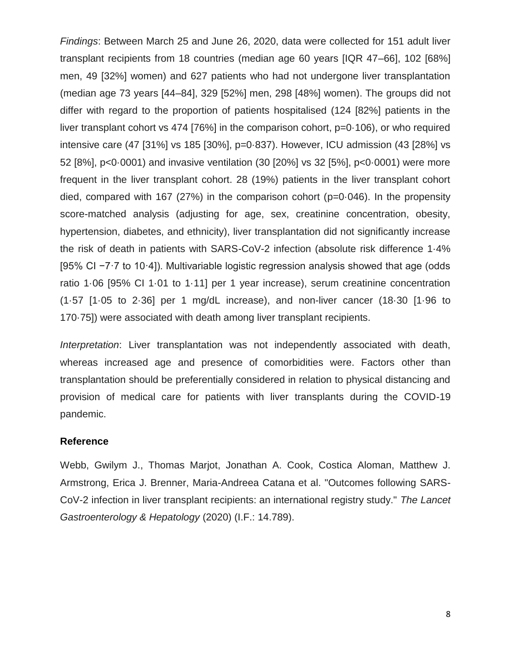*Findings*: Between March 25 and June 26, 2020, data were collected for 151 adult liver transplant recipients from 18 countries (median age 60 years [IQR 47–66], 102 [68%] men, 49 [32%] women) and 627 patients who had not undergone liver transplantation (median age 73 years [44–84], 329 [52%] men, 298 [48%] women). The groups did not differ with regard to the proportion of patients hospitalised (124 [82%] patients in the liver transplant cohort vs 474 [76%] in the comparison cohort, p=0·106), or who required intensive care (47 [31%] vs 185 [30%], p=0·837). However, ICU admission (43 [28%] vs 52 [8%], p<0·0001) and invasive ventilation (30 [20%] vs 32 [5%], p<0·0001) were more frequent in the liver transplant cohort. 28 (19%) patients in the liver transplant cohort died, compared with 167 (27%) in the comparison cohort (p=0·046). In the propensity score-matched analysis (adjusting for age, sex, creatinine concentration, obesity, hypertension, diabetes, and ethnicity), liver transplantation did not significantly increase the risk of death in patients with SARS-CoV-2 infection (absolute risk difference 1·4% [95% CI −7·7 to 10·4]). Multivariable logistic regression analysis showed that age (odds ratio 1·06 [95% CI 1·01 to 1·11] per 1 year increase), serum creatinine concentration (1·57 [1·05 to 2·36] per 1 mg/dL increase), and non-liver cancer (18·30 [1·96 to 170·75]) were associated with death among liver transplant recipients.

*Interpretation*: Liver transplantation was not independently associated with death, whereas increased age and presence of comorbidities were. Factors other than transplantation should be preferentially considered in relation to physical distancing and provision of medical care for patients with liver transplants during the COVID-19 pandemic.

#### **Reference**

Webb, Gwilym J., Thomas Marjot, Jonathan A. Cook, Costica Aloman, Matthew J. Armstrong, Erica J. Brenner, Maria-Andreea Catana et al. "Outcomes following SARS-CoV-2 infection in liver transplant recipients: an international registry study." *The Lancet Gastroenterology & Hepatology* (2020) (I.F.: 14.789).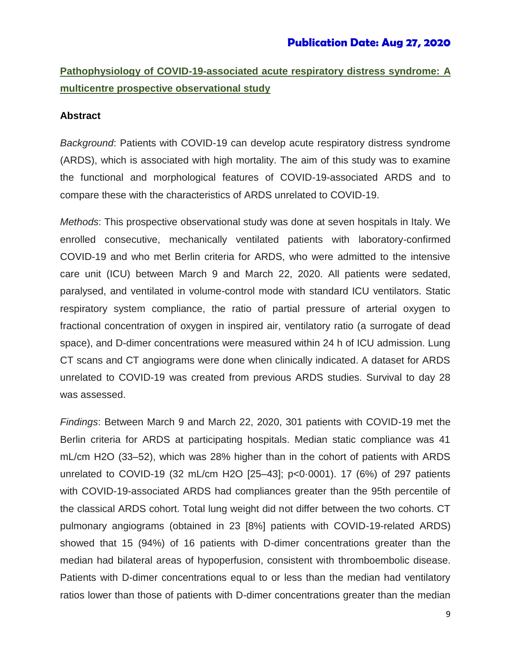## **Publication Date: Aug 27, 2020**

**Pathophysiology of COVID-19-associated acute respiratory distress syndrome: A multicentre prospective observational study**

#### **Abstract**

*Background*: Patients with COVID-19 can develop acute respiratory distress syndrome (ARDS), which is associated with high mortality. The aim of this study was to examine the functional and morphological features of COVID-19-associated ARDS and to compare these with the characteristics of ARDS unrelated to COVID-19.

*Methods*: This prospective observational study was done at seven hospitals in Italy. We enrolled consecutive, mechanically ventilated patients with laboratory-confirmed COVID-19 and who met Berlin criteria for ARDS, who were admitted to the intensive care unit (ICU) between March 9 and March 22, 2020. All patients were sedated, paralysed, and ventilated in volume-control mode with standard ICU ventilators. Static respiratory system compliance, the ratio of partial pressure of arterial oxygen to fractional concentration of oxygen in inspired air, ventilatory ratio (a surrogate of dead space), and D-dimer concentrations were measured within 24 h of ICU admission. Lung CT scans and CT angiograms were done when clinically indicated. A dataset for ARDS unrelated to COVID-19 was created from previous ARDS studies. Survival to day 28 was assessed.

*Findings*: Between March 9 and March 22, 2020, 301 patients with COVID-19 met the Berlin criteria for ARDS at participating hospitals. Median static compliance was 41 mL/cm H2O (33–52), which was 28% higher than in the cohort of patients with ARDS unrelated to COVID-19 (32 mL/cm H2O [25–43]; p<0·0001). 17 (6%) of 297 patients with COVID-19-associated ARDS had compliances greater than the 95th percentile of the classical ARDS cohort. Total lung weight did not differ between the two cohorts. CT pulmonary angiograms (obtained in 23 [8%] patients with COVID-19-related ARDS) showed that 15 (94%) of 16 patients with D-dimer concentrations greater than the median had bilateral areas of hypoperfusion, consistent with thromboembolic disease. Patients with D-dimer concentrations equal to or less than the median had ventilatory ratios lower than those of patients with D-dimer concentrations greater than the median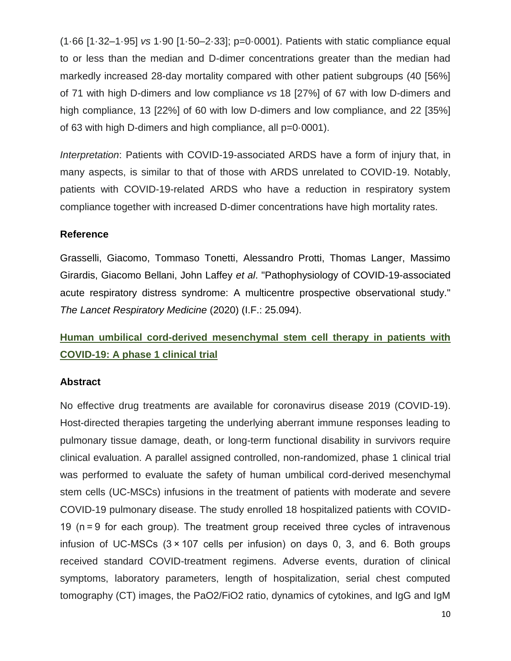(1·66 [1·32–1·95] *vs* 1·90 [1·50–2·33]; p=0·0001). Patients with static compliance equal to or less than the median and D-dimer concentrations greater than the median had markedly increased 28-day mortality compared with other patient subgroups (40 [56%] of 71 with high D-dimers and low compliance *vs* 18 [27%] of 67 with low D-dimers and high compliance, 13 [22%] of 60 with low D-dimers and low compliance, and 22 [35%] of 63 with high D-dimers and high compliance, all p=0·0001).

*Interpretation*: Patients with COVID-19-associated ARDS have a form of injury that, in many aspects, is similar to that of those with ARDS unrelated to COVID-19. Notably, patients with COVID-19-related ARDS who have a reduction in respiratory system compliance together with increased D-dimer concentrations have high mortality rates.

## **Reference**

Grasselli, Giacomo, Tommaso Tonetti, Alessandro Protti, Thomas Langer, Massimo Girardis, Giacomo Bellani, John Laffey *et al*. "Pathophysiology of COVID-19-associated acute respiratory distress syndrome: A multicentre prospective observational study." *The Lancet Respiratory Medicine* (2020) (I.F.: 25.094).

# **Human umbilical cord-derived mesenchymal stem cell therapy in patients with COVID-19: A phase 1 clinical trial**

## **Abstract**

No effective drug treatments are available for coronavirus disease 2019 (COVID-19). Host-directed therapies targeting the underlying aberrant immune responses leading to pulmonary tissue damage, death, or long-term functional disability in survivors require clinical evaluation. A parallel assigned controlled, non-randomized, phase 1 clinical trial was performed to evaluate the safety of human umbilical cord-derived mesenchymal stem cells (UC-MSCs) infusions in the treatment of patients with moderate and severe COVID-19 pulmonary disease. The study enrolled 18 hospitalized patients with COVID-19 (n = 9 for each group). The treatment group received three cycles of intravenous infusion of UC-MSCs (3 × 107 cells per infusion) on days 0, 3, and 6. Both groups received standard COVID-treatment regimens. Adverse events, duration of clinical symptoms, laboratory parameters, length of hospitalization, serial chest computed tomography (CT) images, the PaO2/FiO2 ratio, dynamics of cytokines, and IgG and IgM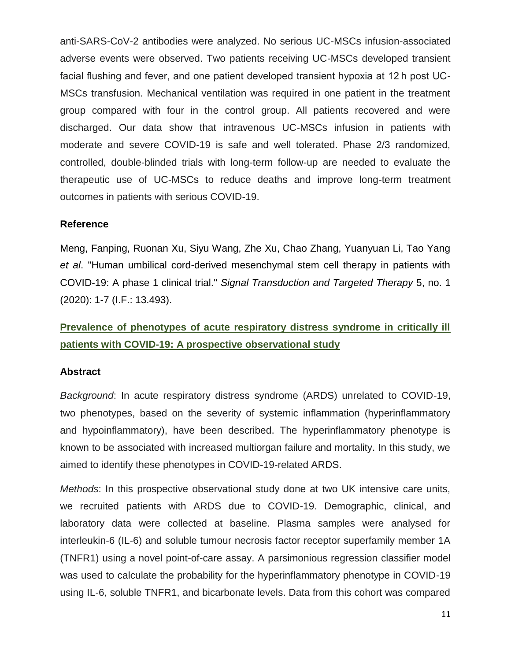anti-SARS-CoV-2 antibodies were analyzed. No serious UC-MSCs infusion-associated adverse events were observed. Two patients receiving UC-MSCs developed transient facial flushing and fever, and one patient developed transient hypoxia at 12 h post UC-MSCs transfusion. Mechanical ventilation was required in one patient in the treatment group compared with four in the control group. All patients recovered and were discharged. Our data show that intravenous UC-MSCs infusion in patients with moderate and severe COVID-19 is safe and well tolerated. Phase 2/3 randomized, controlled, double-blinded trials with long-term follow-up are needed to evaluate the therapeutic use of UC-MSCs to reduce deaths and improve long-term treatment outcomes in patients with serious COVID-19.

## **Reference**

Meng, Fanping, Ruonan Xu, Siyu Wang, Zhe Xu, Chao Zhang, Yuanyuan Li, Tao Yang *et al*. "Human umbilical cord-derived mesenchymal stem cell therapy in patients with COVID-19: A phase 1 clinical trial." *Signal Transduction and Targeted Therapy* 5, no. 1 (2020): 1-7 (I.F.: 13.493).

## **Prevalence of phenotypes of acute respiratory distress syndrome in critically ill patients with COVID-19: A prospective observational study**

#### **Abstract**

*Background*: In acute respiratory distress syndrome (ARDS) unrelated to COVID-19, two phenotypes, based on the severity of systemic inflammation (hyperinflammatory and hypoinflammatory), have been described. The hyperinflammatory phenotype is known to be associated with increased multiorgan failure and mortality. In this study, we aimed to identify these phenotypes in COVID-19-related ARDS.

*Methods*: In this prospective observational study done at two UK intensive care units, we recruited patients with ARDS due to COVID-19. Demographic, clinical, and laboratory data were collected at baseline. Plasma samples were analysed for interleukin-6 (IL-6) and soluble tumour necrosis factor receptor superfamily member 1A (TNFR1) using a novel point-of-care assay. A parsimonious regression classifier model was used to calculate the probability for the hyperinflammatory phenotype in COVID-19 using IL-6, soluble TNFR1, and bicarbonate levels. Data from this cohort was compared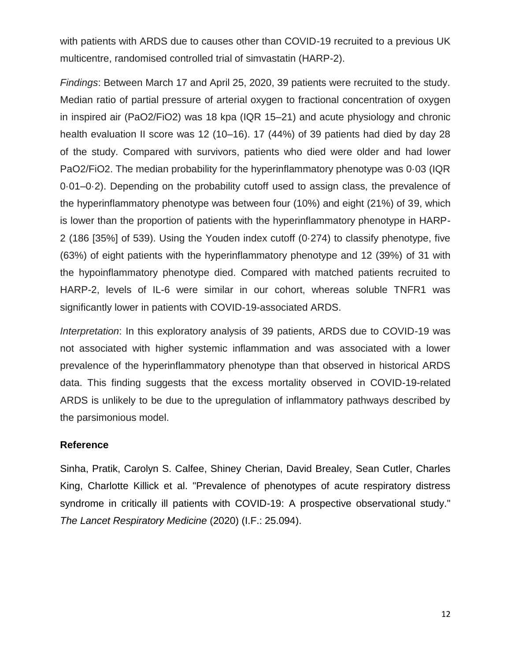with patients with ARDS due to causes other than COVID-19 recruited to a previous UK multicentre, randomised controlled trial of simvastatin (HARP-2).

*Findings*: Between March 17 and April 25, 2020, 39 patients were recruited to the study. Median ratio of partial pressure of arterial oxygen to fractional concentration of oxygen in inspired air (PaO2/FiO2) was 18 kpa (IQR 15–21) and acute physiology and chronic health evaluation II score was 12 (10–16). 17 (44%) of 39 patients had died by day 28 of the study. Compared with survivors, patients who died were older and had lower PaO2/FiO2. The median probability for the hyperinflammatory phenotype was 0·03 (IQR 0·01–0·2). Depending on the probability cutoff used to assign class, the prevalence of the hyperinflammatory phenotype was between four (10%) and eight (21%) of 39, which is lower than the proportion of patients with the hyperinflammatory phenotype in HARP-2 (186 [35%] of 539). Using the Youden index cutoff (0·274) to classify phenotype, five (63%) of eight patients with the hyperinflammatory phenotype and 12 (39%) of 31 with the hypoinflammatory phenotype died. Compared with matched patients recruited to HARP-2, levels of IL-6 were similar in our cohort, whereas soluble TNFR1 was significantly lower in patients with COVID-19-associated ARDS.

*Interpretation*: In this exploratory analysis of 39 patients, ARDS due to COVID-19 was not associated with higher systemic inflammation and was associated with a lower prevalence of the hyperinflammatory phenotype than that observed in historical ARDS data. This finding suggests that the excess mortality observed in COVID-19-related ARDS is unlikely to be due to the upregulation of inflammatory pathways described by the parsimonious model.

## **Reference**

Sinha, Pratik, Carolyn S. Calfee, Shiney Cherian, David Brealey, Sean Cutler, Charles King, Charlotte Killick et al. "Prevalence of phenotypes of acute respiratory distress syndrome in critically ill patients with COVID-19: A prospective observational study." *The Lancet Respiratory Medicine* (2020) (I.F.: 25.094).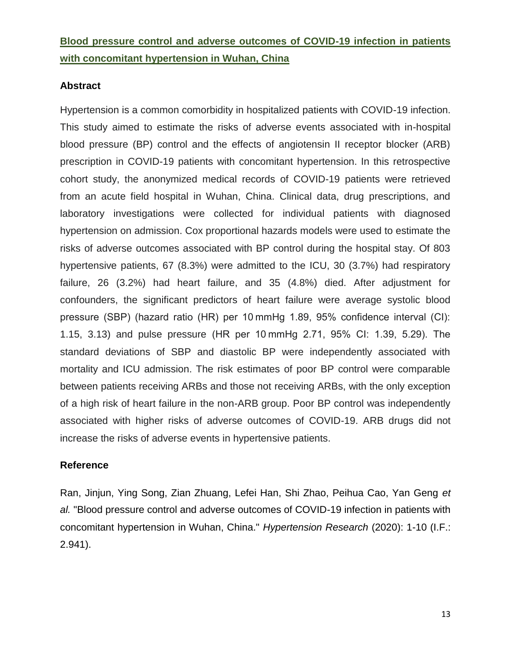## **Blood pressure control and adverse outcomes of COVID-19 infection in patients with concomitant hypertension in Wuhan, China**

## **Abstract**

Hypertension is a common comorbidity in hospitalized patients with COVID-19 infection. This study aimed to estimate the risks of adverse events associated with in-hospital blood pressure (BP) control and the effects of angiotensin II receptor blocker (ARB) prescription in COVID-19 patients with concomitant hypertension. In this retrospective cohort study, the anonymized medical records of COVID-19 patients were retrieved from an acute field hospital in Wuhan, China. Clinical data, drug prescriptions, and laboratory investigations were collected for individual patients with diagnosed hypertension on admission. Cox proportional hazards models were used to estimate the risks of adverse outcomes associated with BP control during the hospital stay. Of 803 hypertensive patients, 67 (8.3%) were admitted to the ICU, 30 (3.7%) had respiratory failure, 26 (3.2%) had heart failure, and 35 (4.8%) died. After adjustment for confounders, the significant predictors of heart failure were average systolic blood pressure (SBP) (hazard ratio (HR) per 10 mmHg 1.89, 95% confidence interval (CI): 1.15, 3.13) and pulse pressure (HR per 10 mmHg 2.71, 95% CI: 1.39, 5.29). The standard deviations of SBP and diastolic BP were independently associated with mortality and ICU admission. The risk estimates of poor BP control were comparable between patients receiving ARBs and those not receiving ARBs, with the only exception of a high risk of heart failure in the non-ARB group. Poor BP control was independently associated with higher risks of adverse outcomes of COVID-19. ARB drugs did not increase the risks of adverse events in hypertensive patients.

## **Reference**

Ran, Jinjun, Ying Song, Zian Zhuang, Lefei Han, Shi Zhao, Peihua Cao, Yan Geng *et al.* "Blood pressure control and adverse outcomes of COVID-19 infection in patients with concomitant hypertension in Wuhan, China." *Hypertension Research* (2020): 1-10 (I.F.: 2.941).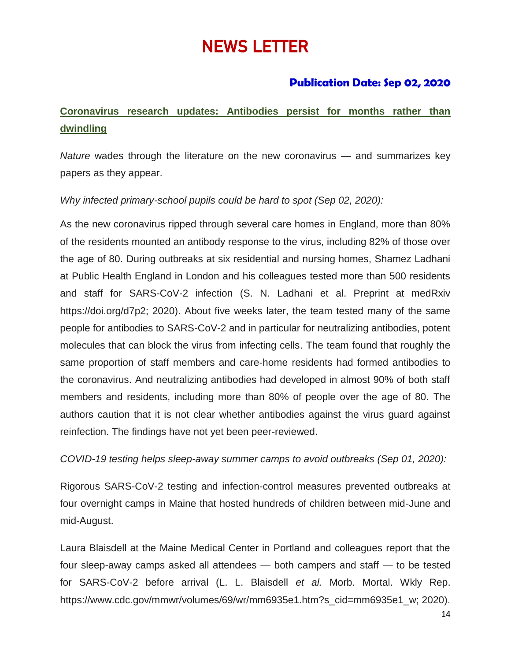# NEWS LETTER

## **Publication Date: Sep 02, 2020**

# **Coronavirus research updates: Antibodies persist for months rather than dwindling**

*Nature* wades through the literature on the new coronavirus — and summarizes key papers as they appear.

## *Why infected primary-school pupils could be hard to spot (Sep 02, 2020):*

As the new coronavirus ripped through several care homes in England, more than 80% of the residents mounted an antibody response to the virus, including 82% of those over the age of 80. During outbreaks at six residential and nursing homes, Shamez Ladhani at Public Health England in London and his colleagues tested more than 500 residents and staff for SARS-CoV-2 infection (S. N. Ladhani et al. Preprint at medRxiv https://doi.org/d7p2; 2020). About five weeks later, the team tested many of the same people for antibodies to SARS-CoV-2 and in particular for neutralizing antibodies, potent molecules that can block the virus from infecting cells. The team found that roughly the same proportion of staff members and care-home residents had formed antibodies to the coronavirus. And neutralizing antibodies had developed in almost 90% of both staff members and residents, including more than 80% of people over the age of 80. The authors caution that it is not clear whether antibodies against the virus guard against reinfection. The findings have not yet been peer-reviewed.

*COVID-19 testing helps sleep-away summer camps to avoid outbreaks (Sep 01, 2020):*

Rigorous SARS-CoV-2 testing and infection-control measures prevented outbreaks at four overnight camps in Maine that hosted hundreds of children between mid-June and mid-August.

Laura Blaisdell at the Maine Medical Center in Portland and colleagues report that the four sleep-away camps asked all attendees — both campers and staff — to be tested for SARS-CoV-2 before arrival (L. L. Blaisdell *et al.* Morb. Mortal. Wkly Rep. https://www.cdc.gov/mmwr/volumes/69/wr/mm6935e1.htm?s\_cid=mm6935e1\_w; 2020).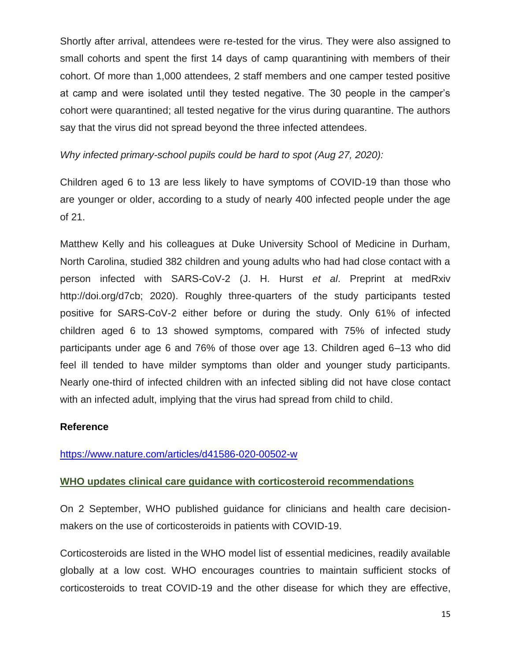Shortly after arrival, attendees were re-tested for the virus. They were also assigned to small cohorts and spent the first 14 days of camp quarantining with members of their cohort. Of more than 1,000 attendees, 2 staff members and one camper tested positive at camp and were isolated until they tested negative. The 30 people in the camper's cohort were quarantined; all tested negative for the virus during quarantine. The authors say that the virus did not spread beyond the three infected attendees.

*Why infected primary-school pupils could be hard to spot (Aug 27, 2020):*

Children aged 6 to 13 are less likely to have symptoms of COVID-19 than those who are younger or older, according to a study of nearly 400 infected people under the age of 21.

Matthew Kelly and his colleagues at Duke University School of Medicine in Durham, North Carolina, studied 382 children and young adults who had had close contact with a person infected with SARS-CoV-2 (J. H. Hurst *et al*. Preprint at medRxiv http://doi.org/d7cb; 2020). Roughly three-quarters of the study participants tested positive for SARS-CoV-2 either before or during the study. Only 61% of infected children aged 6 to 13 showed symptoms, compared with 75% of infected study participants under age 6 and 76% of those over age 13. Children aged 6–13 who did feel ill tended to have milder symptoms than older and younger study participants. Nearly one-third of infected children with an infected sibling did not have close contact with an infected adult, implying that the virus had spread from child to child.

## **Reference**

<https://www.nature.com/articles/d41586-020-00502-w>

## **WHO updates clinical care guidance with corticosteroid recommendations**

On 2 September, WHO published guidance for clinicians and health care decisionmakers on the use of corticosteroids in patients with COVID-19.

Corticosteroids are listed in the WHO model list of essential medicines, readily available globally at a low cost. WHO encourages countries to maintain sufficient stocks of corticosteroids to treat COVID-19 and the other disease for which they are effective,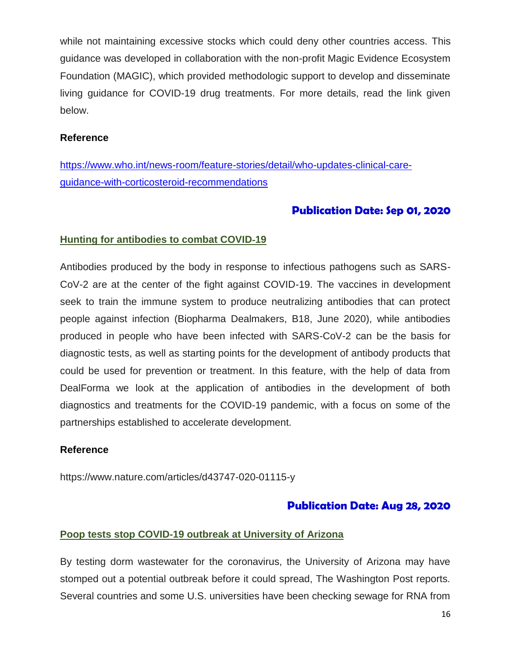while not maintaining excessive stocks which could deny other countries access. This guidance was developed in collaboration with the non-profit Magic Evidence Ecosystem Foundation (MAGIC), which provided methodologic support to develop and disseminate living guidance for COVID-19 drug treatments. For more details, read the link given below.

## **Reference**

[https://www.who.int/news-room/feature-stories/detail/who-updates-clinical-care](https://www.who.int/news-room/feature-stories/detail/who-updates-clinical-care-guidance-with-corticosteroid-recommendations)[guidance-with-corticosteroid-recommendations](https://www.who.int/news-room/feature-stories/detail/who-updates-clinical-care-guidance-with-corticosteroid-recommendations)

## **Publication Date: Sep 01, 2020**

## **Hunting for antibodies to combat COVID**‑**19**

Antibodies produced by the body in response to infectious pathogens such as SARS-CoV-2 are at the center of the fight against COVID-19. The vaccines in development seek to train the immune system to produce neutralizing antibodies that can protect people against infection (Biopharma Dealmakers, B18, June 2020), while antibodies produced in people who have been infected with SARS-CoV-2 can be the basis for diagnostic tests, as well as starting points for the development of antibody products that could be used for prevention or treatment. In this feature, with the help of data from DealForma we look at the application of antibodies in the development of both diagnostics and treatments for the COVID-19 pandemic, with a focus on some of the partnerships established to accelerate development.

## **Reference**

https://www.nature.com/articles/d43747-020-01115-y

## **Publication Date: Aug 28, 2020**

## **Poop tests stop COVID-19 outbreak at University of Arizona**

By testing dorm wastewater for the coronavirus, the University of Arizona may have stomped out a potential outbreak before it could spread, The Washington Post reports. Several countries and some U.S. universities have been checking sewage for RNA from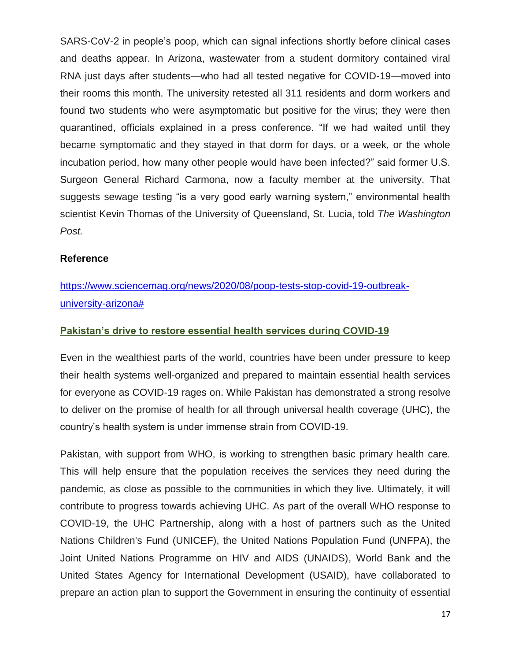SARS-CoV-2 in people's poop, which can signal infections shortly before clinical cases and deaths appear. In Arizona, wastewater from a student dormitory contained viral RNA just days after students—who had all tested negative for COVID-19—moved into their rooms this month. The university retested all 311 residents and dorm workers and found two students who were asymptomatic but positive for the virus; they were then quarantined, officials explained in a press conference. "If we had waited until they became symptomatic and they stayed in that dorm for days, or a week, or the whole incubation period, how many other people would have been infected?" said former U.S. Surgeon General Richard Carmona, now a faculty member at the university. That suggests sewage testing "is a very good early warning system," environmental health scientist Kevin Thomas of the University of Queensland, St. Lucia, told *The Washington Post.*

### **Reference**

# [https://www.sciencemag.org/news/2020/08/poop-tests-stop-covid-19-outbreak](https://www.sciencemag.org/news/2020/08/poop-tests-stop-covid-19-outbreak-university-arizona)[university-arizona#](https://www.sciencemag.org/news/2020/08/poop-tests-stop-covid-19-outbreak-university-arizona)

## **Pakistan's drive to restore essential health services during COVID-19**

Even in the wealthiest parts of the world, countries have been under pressure to keep their health systems well-organized and prepared to maintain essential health services for everyone as COVID-19 rages on. While Pakistan has demonstrated a strong resolve to deliver on the promise of health for all through universal health coverage (UHC), the country's health system is under immense strain from COVID-19.

Pakistan, with support from WHO, is working to strengthen basic primary health care. This will help ensure that the population receives the services they need during the pandemic, as close as possible to the communities in which they live. Ultimately, it will contribute to progress towards achieving UHC. As part of the overall WHO response to COVID-19, the UHC Partnership, along with a host of partners such as the United Nations Children's Fund (UNICEF), the United Nations Population Fund (UNFPA), the Joint United Nations Programme on HIV and AIDS (UNAIDS), World Bank and the United States Agency for International Development (USAID), have collaborated to prepare an action plan to support the Government in ensuring the continuity of essential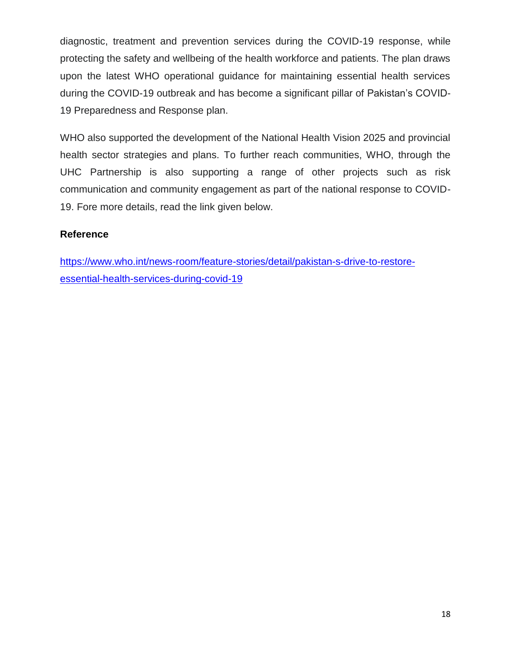diagnostic, treatment and prevention services during the COVID-19 response, while protecting the safety and wellbeing of the health workforce and patients. The plan draws upon the latest WHO operational guidance for maintaining essential health services during the COVID-19 outbreak and has become a significant pillar of Pakistan's COVID-19 Preparedness and Response plan.

WHO also supported the development of the National Health Vision 2025 and provincial health sector strategies and plans. To further reach communities, WHO, through the UHC Partnership is also supporting a range of other projects such as risk communication and community engagement as part of the national response to COVID-19. Fore more details, read the link given below.

## **Reference**

[https://www.who.int/news-room/feature-stories/detail/pakistan-s-drive-to-restore](https://www.who.int/news-room/feature-stories/detail/pakistan-s-drive-to-restore-essential-health-services-during-covid-19)[essential-health-services-during-covid-19](https://www.who.int/news-room/feature-stories/detail/pakistan-s-drive-to-restore-essential-health-services-during-covid-19)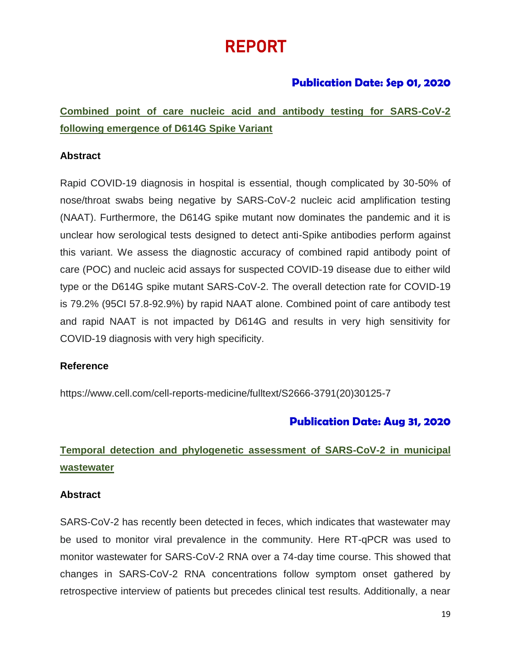# REPORT

## **Publication Date: Sep 01, 2020**

**Combined point of care nucleic acid and antibody testing for SARS-CoV-2 following emergence of D614G Spike Variant** 

## **Abstract**

Rapid COVID-19 diagnosis in hospital is essential, though complicated by 30-50% of nose/throat swabs being negative by SARS-CoV-2 nucleic acid amplification testing (NAAT). Furthermore, the D614G spike mutant now dominates the pandemic and it is unclear how serological tests designed to detect anti-Spike antibodies perform against this variant. We assess the diagnostic accuracy of combined rapid antibody point of care (POC) and nucleic acid assays for suspected COVID-19 disease due to either wild type or the D614G spike mutant SARS-CoV-2. The overall detection rate for COVID-19 is 79.2% (95CI 57.8-92.9%) by rapid NAAT alone. Combined point of care antibody test and rapid NAAT is not impacted by D614G and results in very high sensitivity for COVID-19 diagnosis with very high specificity.

## **Reference**

https://www.cell.com/cell-reports-medicine/fulltext/S2666-3791(20)30125-7

## **Publication Date: Aug 31, 2020**

# **Temporal detection and phylogenetic assessment of SARS-CoV-2 in municipal wastewater**

## **Abstract**

SARS-CoV-2 has recently been detected in feces, which indicates that wastewater may be used to monitor viral prevalence in the community. Here RT-qPCR was used to monitor wastewater for SARS-CoV-2 RNA over a 74-day time course. This showed that changes in SARS-CoV-2 RNA concentrations follow symptom onset gathered by retrospective interview of patients but precedes clinical test results. Additionally, a near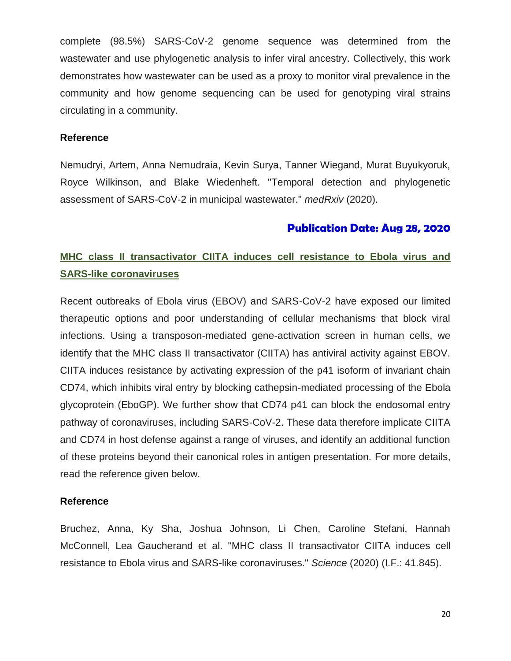complete (98.5%) SARS-CoV-2 genome sequence was determined from the wastewater and use phylogenetic analysis to infer viral ancestry. Collectively, this work demonstrates how wastewater can be used as a proxy to monitor viral prevalence in the community and how genome sequencing can be used for genotyping viral strains circulating in a community.

### **Reference**

Nemudryi, Artem, Anna Nemudraia, Kevin Surya, Tanner Wiegand, Murat Buyukyoruk, Royce Wilkinson, and Blake Wiedenheft. "Temporal detection and phylogenetic assessment of SARS-CoV-2 in municipal wastewater." *medRxiv* (2020).

## **Publication Date: Aug 28, 2020**

# **MHC class II transactivator CIITA induces cell resistance to Ebola virus and SARS-like coronaviruses**

Recent outbreaks of Ebola virus (EBOV) and SARS-CoV-2 have exposed our limited therapeutic options and poor understanding of cellular mechanisms that block viral infections. Using a transposon-mediated gene-activation screen in human cells, we identify that the MHC class II transactivator (CIITA) has antiviral activity against EBOV. CIITA induces resistance by activating expression of the p41 isoform of invariant chain CD74, which inhibits viral entry by blocking cathepsin-mediated processing of the Ebola glycoprotein (EboGP). We further show that CD74 p41 can block the endosomal entry pathway of coronaviruses, including SARS-CoV-2. These data therefore implicate CIITA and CD74 in host defense against a range of viruses, and identify an additional function of these proteins beyond their canonical roles in antigen presentation. For more details, read the reference given below.

## **Reference**

Bruchez, Anna, Ky Sha, Joshua Johnson, Li Chen, Caroline Stefani, Hannah McConnell, Lea Gaucherand et al. "MHC class II transactivator CIITA induces cell resistance to Ebola virus and SARS-like coronaviruses." *Science* (2020) (I.F.: 41.845).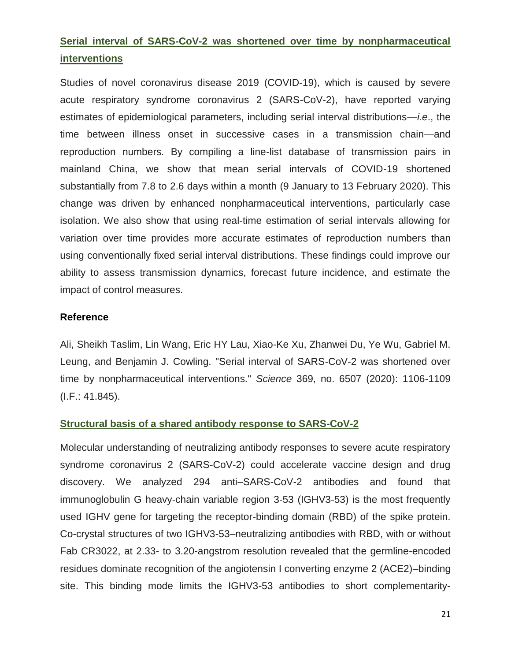## **Serial interval of SARS-CoV-2 was shortened over time by nonpharmaceutical interventions**

Studies of novel coronavirus disease 2019 (COVID-19), which is caused by severe acute respiratory syndrome coronavirus 2 (SARS-CoV-2), have reported varying estimates of epidemiological parameters, including serial interval distributions—*i.e*., the time between illness onset in successive cases in a transmission chain—and reproduction numbers. By compiling a line-list database of transmission pairs in mainland China, we show that mean serial intervals of COVID-19 shortened substantially from 7.8 to 2.6 days within a month (9 January to 13 February 2020). This change was driven by enhanced nonpharmaceutical interventions, particularly case isolation. We also show that using real-time estimation of serial intervals allowing for variation over time provides more accurate estimates of reproduction numbers than using conventionally fixed serial interval distributions. These findings could improve our ability to assess transmission dynamics, forecast future incidence, and estimate the impact of control measures.

### **Reference**

Ali, Sheikh Taslim, Lin Wang, Eric HY Lau, Xiao-Ke Xu, Zhanwei Du, Ye Wu, Gabriel M. Leung, and Benjamin J. Cowling. "Serial interval of SARS-CoV-2 was shortened over time by nonpharmaceutical interventions." *Science* 369, no. 6507 (2020): 1106-1109 (I.F.: 41.845).

## **Structural basis of a shared antibody response to SARS-CoV-2**

Molecular understanding of neutralizing antibody responses to severe acute respiratory syndrome coronavirus 2 (SARS-CoV-2) could accelerate vaccine design and drug discovery. We analyzed 294 anti–SARS-CoV-2 antibodies and found that immunoglobulin G heavy-chain variable region 3-53 (IGHV3-53) is the most frequently used IGHV gene for targeting the receptor-binding domain (RBD) of the spike protein. Co-crystal structures of two IGHV3-53–neutralizing antibodies with RBD, with or without Fab CR3022, at 2.33- to 3.20-angstrom resolution revealed that the germline-encoded residues dominate recognition of the angiotensin I converting enzyme 2 (ACE2)–binding site. This binding mode limits the IGHV3-53 antibodies to short complementarity-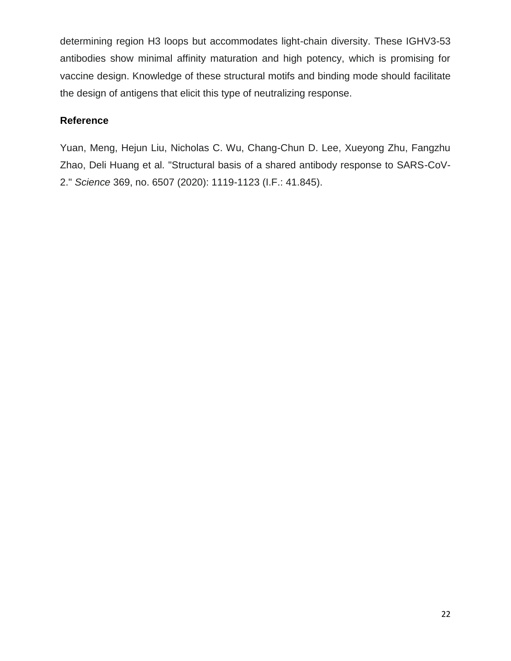determining region H3 loops but accommodates light-chain diversity. These IGHV3-53 antibodies show minimal affinity maturation and high potency, which is promising for vaccine design. Knowledge of these structural motifs and binding mode should facilitate the design of antigens that elicit this type of neutralizing response.

## **Reference**

Yuan, Meng, Hejun Liu, Nicholas C. Wu, Chang-Chun D. Lee, Xueyong Zhu, Fangzhu Zhao, Deli Huang et al. "Structural basis of a shared antibody response to SARS-CoV-2." *Science* 369, no. 6507 (2020): 1119-1123 (I.F.: 41.845).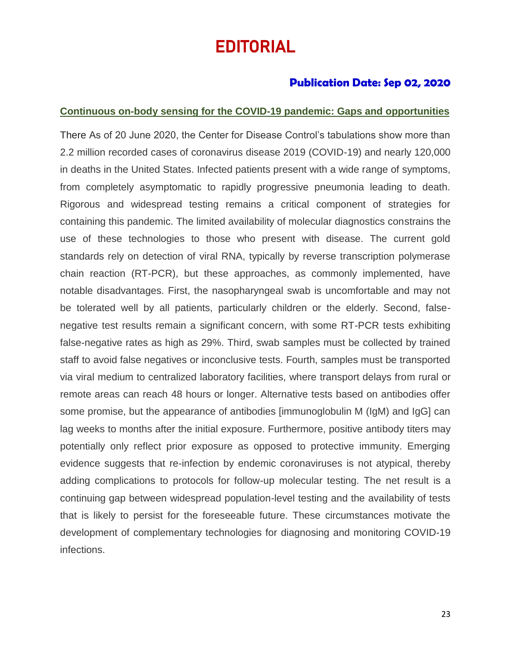# EDITORIAL

## **Publication Date: Sep 02, 2020**

#### **Continuous on-body sensing for the COVID-19 pandemic: Gaps and opportunities**

There As of 20 June 2020, the Center for Disease Control's tabulations show more than 2.2 million recorded cases of coronavirus disease 2019 (COVID-19) and nearly 120,000 in deaths in the United States. Infected patients present with a wide range of symptoms, from completely asymptomatic to rapidly progressive pneumonia leading to death. Rigorous and widespread testing remains a critical component of strategies for containing this pandemic. The limited availability of molecular diagnostics constrains the use of these technologies to those who present with disease. The current gold standards rely on detection of viral RNA, typically by reverse transcription polymerase chain reaction (RT-PCR), but these approaches, as commonly implemented, have notable disadvantages. First, the nasopharyngeal swab is uncomfortable and may not be tolerated well by all patients, particularly children or the elderly. Second, falsenegative test results remain a significant concern, with some RT-PCR tests exhibiting false-negative rates as high as 29%. Third, swab samples must be collected by trained staff to avoid false negatives or inconclusive tests. Fourth, samples must be transported via viral medium to centralized laboratory facilities, where transport delays from rural or remote areas can reach 48 hours or longer. Alternative tests based on antibodies offer some promise, but the appearance of antibodies [immunoglobulin M (IgM) and IgG] can lag weeks to months after the initial exposure. Furthermore, positive antibody titers may potentially only reflect prior exposure as opposed to protective immunity. Emerging evidence suggests that re-infection by endemic coronaviruses is not atypical, thereby adding complications to protocols for follow-up molecular testing. The net result is a continuing gap between widespread population-level testing and the availability of tests that is likely to persist for the foreseeable future. These circumstances motivate the development of complementary technologies for diagnosing and monitoring COVID-19 infections.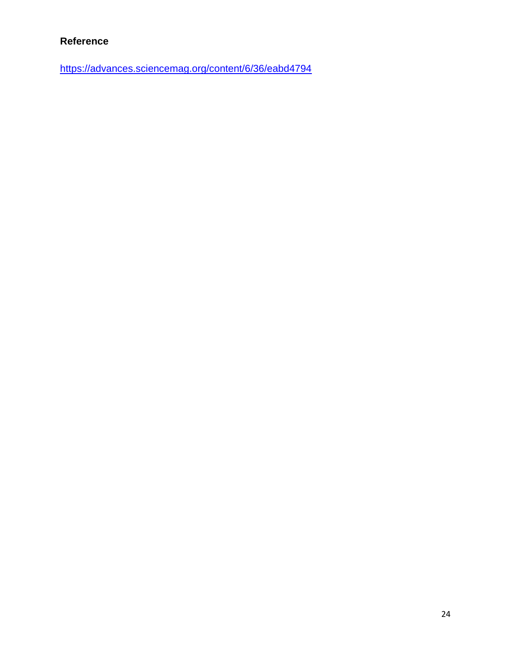## **Reference**

<https://advances.sciencemag.org/content/6/36/eabd4794>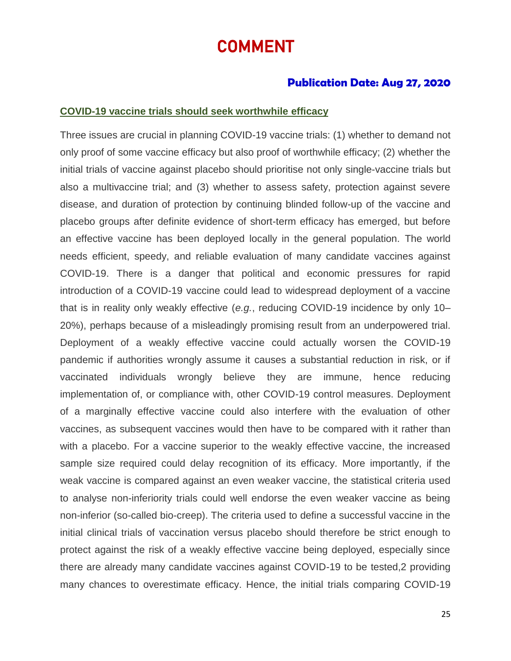# COMMENT

## **Publication Date: Aug 27, 2020**

#### **COVID-19 vaccine trials should seek worthwhile efficacy**

Three issues are crucial in planning COVID-19 vaccine trials: (1) whether to demand not only proof of some vaccine efficacy but also proof of worthwhile efficacy; (2) whether the initial trials of vaccine against placebo should prioritise not only single-vaccine trials but also a multivaccine trial; and (3) whether to assess safety, protection against severe disease, and duration of protection by continuing blinded follow-up of the vaccine and placebo groups after definite evidence of short-term efficacy has emerged, but before an effective vaccine has been deployed locally in the general population. The world needs efficient, speedy, and reliable evaluation of many candidate vaccines against COVID-19. There is a danger that political and economic pressures for rapid introduction of a COVID-19 vaccine could lead to widespread deployment of a vaccine that is in reality only weakly effective (*e.g.*, reducing COVID-19 incidence by only 10– 20%), perhaps because of a misleadingly promising result from an underpowered trial. Deployment of a weakly effective vaccine could actually worsen the COVID-19 pandemic if authorities wrongly assume it causes a substantial reduction in risk, or if vaccinated individuals wrongly believe they are immune, hence reducing implementation of, or compliance with, other COVID-19 control measures. Deployment of a marginally effective vaccine could also interfere with the evaluation of other vaccines, as subsequent vaccines would then have to be compared with it rather than with a placebo. For a vaccine superior to the weakly effective vaccine, the increased sample size required could delay recognition of its efficacy. More importantly, if the weak vaccine is compared against an even weaker vaccine, the statistical criteria used to analyse non-inferiority trials could well endorse the even weaker vaccine as being non-inferior (so-called bio-creep). The criteria used to define a successful vaccine in the initial clinical trials of vaccination versus placebo should therefore be strict enough to protect against the risk of a weakly effective vaccine being deployed, especially since there are already many candidate vaccines against COVID-19 to be tested,2 providing many chances to overestimate efficacy. Hence, the initial trials comparing COVID-19